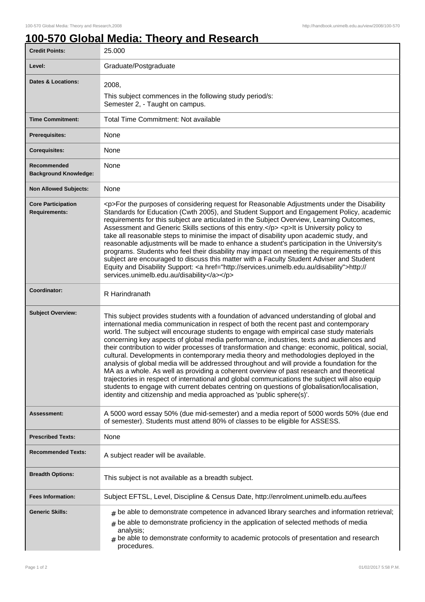## **100-570 Global Media: Theory and Research**

| <b>Credit Points:</b>                             | 25.000                                                                                                                                                                                                                                                                                                                                                                                                                                                                                                                                                                                                                                                                                                                                                                                                                                                                                                                                                                                                                                     |
|---------------------------------------------------|--------------------------------------------------------------------------------------------------------------------------------------------------------------------------------------------------------------------------------------------------------------------------------------------------------------------------------------------------------------------------------------------------------------------------------------------------------------------------------------------------------------------------------------------------------------------------------------------------------------------------------------------------------------------------------------------------------------------------------------------------------------------------------------------------------------------------------------------------------------------------------------------------------------------------------------------------------------------------------------------------------------------------------------------|
| Level:                                            | Graduate/Postgraduate                                                                                                                                                                                                                                                                                                                                                                                                                                                                                                                                                                                                                                                                                                                                                                                                                                                                                                                                                                                                                      |
| <b>Dates &amp; Locations:</b>                     | 2008,<br>This subject commences in the following study period/s:<br>Semester 2, - Taught on campus.                                                                                                                                                                                                                                                                                                                                                                                                                                                                                                                                                                                                                                                                                                                                                                                                                                                                                                                                        |
| <b>Time Commitment:</b>                           | Total Time Commitment: Not available                                                                                                                                                                                                                                                                                                                                                                                                                                                                                                                                                                                                                                                                                                                                                                                                                                                                                                                                                                                                       |
| <b>Prerequisites:</b>                             | None                                                                                                                                                                                                                                                                                                                                                                                                                                                                                                                                                                                                                                                                                                                                                                                                                                                                                                                                                                                                                                       |
| <b>Corequisites:</b>                              | None                                                                                                                                                                                                                                                                                                                                                                                                                                                                                                                                                                                                                                                                                                                                                                                                                                                                                                                                                                                                                                       |
| Recommended<br><b>Background Knowledge:</b>       | None                                                                                                                                                                                                                                                                                                                                                                                                                                                                                                                                                                                                                                                                                                                                                                                                                                                                                                                                                                                                                                       |
| <b>Non Allowed Subjects:</b>                      | None                                                                                                                                                                                                                                                                                                                                                                                                                                                                                                                                                                                                                                                                                                                                                                                                                                                                                                                                                                                                                                       |
| <b>Core Participation</b><br><b>Requirements:</b> | <p>For the purposes of considering request for Reasonable Adjustments under the Disability<br/>Standards for Education (Cwth 2005), and Student Support and Engagement Policy, academic<br/>requirements for this subject are articulated in the Subject Overview, Learning Outcomes,<br/>Assessment and Generic Skills sections of this entry.</p> <p>lt is University policy to<br/>take all reasonable steps to minimise the impact of disability upon academic study, and<br/>reasonable adjustments will be made to enhance a student's participation in the University's<br/>programs. Students who feel their disability may impact on meeting the requirements of this<br/>subject are encouraged to discuss this matter with a Faculty Student Adviser and Student<br/>Equity and Disability Support: &lt; a href="http://services.unimelb.edu.au/disability"&gt;http://<br/>services.unimelb.edu.au/disability</p>                                                                                                               |
| Coordinator:                                      | R Harindranath                                                                                                                                                                                                                                                                                                                                                                                                                                                                                                                                                                                                                                                                                                                                                                                                                                                                                                                                                                                                                             |
| <b>Subject Overview:</b>                          | This subject provides students with a foundation of advanced understanding of global and<br>international media communication in respect of both the recent past and contemporary<br>world. The subject will encourage students to engage with empirical case study materials<br>concerning key aspects of global media performance, industries, texts and audiences and<br>their contribution to wider processes of transformation and change: economic, political, social,<br>cultural. Developments in contemporary media theory and methodologies deployed in the<br>analysis of global media will be addressed throughout and will provide a foundation for the<br>MA as a whole. As well as providing a coherent overview of past research and theoretical<br>trajectories in respect of international and global communications the subject will also equip<br>students to engage with current debates centring on questions of globalisation/localisation,<br>identity and citizenship and media approached as 'public sphere(s)'. |
| <b>Assessment:</b>                                | A 5000 word essay 50% (due mid-semester) and a media report of 5000 words 50% (due end<br>of semester). Students must attend 80% of classes to be eligible for ASSESS.                                                                                                                                                                                                                                                                                                                                                                                                                                                                                                                                                                                                                                                                                                                                                                                                                                                                     |
| <b>Prescribed Texts:</b>                          | None                                                                                                                                                                                                                                                                                                                                                                                                                                                                                                                                                                                                                                                                                                                                                                                                                                                                                                                                                                                                                                       |
| <b>Recommended Texts:</b>                         | A subject reader will be available.                                                                                                                                                                                                                                                                                                                                                                                                                                                                                                                                                                                                                                                                                                                                                                                                                                                                                                                                                                                                        |
| <b>Breadth Options:</b>                           | This subject is not available as a breadth subject.                                                                                                                                                                                                                                                                                                                                                                                                                                                                                                                                                                                                                                                                                                                                                                                                                                                                                                                                                                                        |
| <b>Fees Information:</b>                          | Subject EFTSL, Level, Discipline & Census Date, http://enrolment.unimelb.edu.au/fees                                                                                                                                                                                                                                                                                                                                                                                                                                                                                                                                                                                                                                                                                                                                                                                                                                                                                                                                                       |
| <b>Generic Skills:</b>                            | $#$ be able to demonstrate competence in advanced library searches and information retrieval;<br>be able to demonstrate proficiency in the application of selected methods of media<br>#<br>analysis;<br>be able to demonstrate conformity to academic protocols of presentation and research<br>procedures.                                                                                                                                                                                                                                                                                                                                                                                                                                                                                                                                                                                                                                                                                                                               |